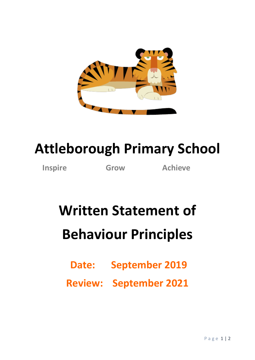

## **Attleborough Primary School**

**Inspire Grow Achieve**

## **Written Statement of Behaviour Principles**

**Date: September 2019**

**Review: September 2021**